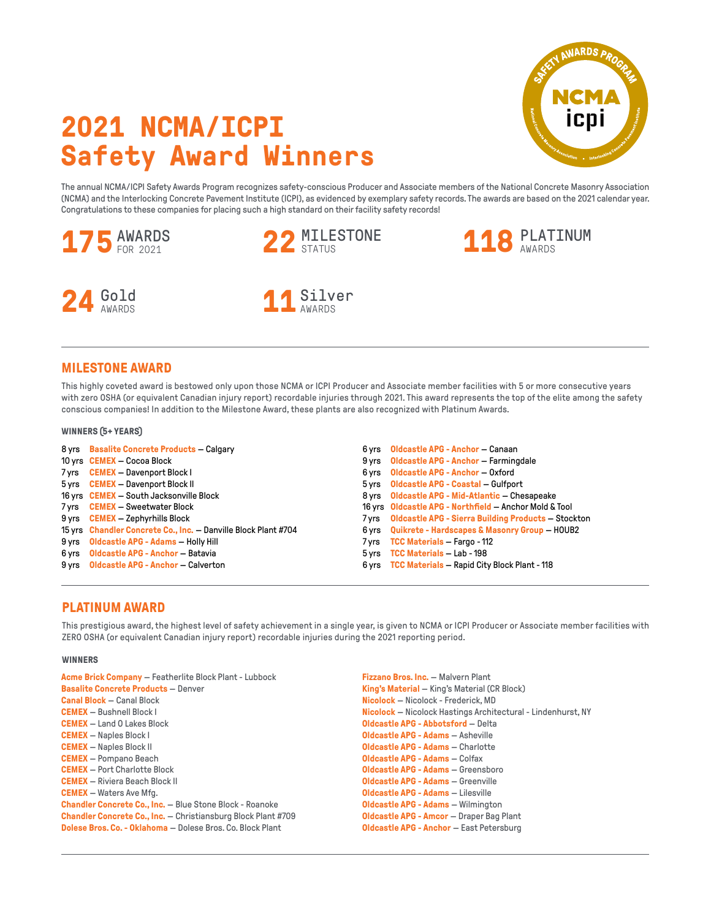# **2021 NCMA/ICPI Safety Award Winners**

The annual NCMA/ICPI Safety Awards Program recognizes safety-conscious Producer and Associate members of the National Concrete Masonry Association (NCMA) and the Interlocking Concrete Pavement Institute (ICPI), as evidenced by exemplary safety records. The awards are based on the 2021 calendar year. Congratulations to these companies for placing such a high standard on their facility safety records!



## **MILESTONE AWARD**

This highly coveted award is bestowed only upon those NCMA or ICPI Producer and Associate member facilities with 5 or more consecutive years with zero OSHA (or equivalent Canadian injury report) recordable injuries through 2021. This award represents the top of the elite among the safety conscious companies! In addition to the Milestone Award, these plants are also recognized with Platinum Awards.

### **WINNERS (5+ YEARS)**

| 8 yrs Basalite Concrete Products - Calgary                     | 6 yrs Oldcastle APG - Anchor — Canaan                     |
|----------------------------------------------------------------|-----------------------------------------------------------|
| 10 yrs CEMEX – Cocoa Block                                     | 9 yrs Oldcastle APG - Anchor - Farmingdale                |
| 7 yrs CEMEX - Davenport Block I                                | 6 yrs Oldcastle APG - Anchor - Oxford                     |
| 5 yrs CEMEX - Davenport Block II                               | 5 yrs Oldcastle APG - Coastal - Gulfport                  |
| 16 yrs CEMEX - South Jacksonville Block                        | 8 yrs Oldcastle APG - Mid-Atlantic - Chesapeake           |
| 7 yrs CEMEX - Sweetwater Block                                 | 16 yrs Oldcastle APG - Northfield - Anchor Mold & Tool    |
| 9 yrs <b>CEMEX</b> - Zephyrhills Block                         | 7 yrs Oldcastle APG - Sierra Building Products - Stockton |
| 15 yrs Chandler Concrete Co., Inc. - Danville Block Plant #704 | 6 yrs Quikrete - Hardscapes & Masonry Group - HOUB2       |
| 9 yrs Oldcastle APG - Adams - Holly Hill                       | 7 yrs TCC Materials - Fargo - 112                         |
| 6 yrs Oldcastle APG - Anchor - Batavia                         | 5 yrs TCC Materials - Lab - 198                           |
| 9 yrs Oldcastle APG - Anchor - Calverton                       | 6 yrs TCC Materials - Rapid City Block Plant - 118        |

# **PLATINUM AWARD**

This prestigious award, the highest level of safety achievement in a single year, is given to NCMA or ICPI Producer or Associate member facilities with ZERO OSHA (or equivalent Canadian injury report) recordable injuries during the 2021 reporting period.

#### **WINNERS**

| <b>Acme Brick Company - Featherlite Block Plant - Lubbock</b>        | <b>Fizzano Bros. Inc. - Malvern Plant</b>                    |  |
|----------------------------------------------------------------------|--------------------------------------------------------------|--|
| <b>Basalite Concrete Products - Denver</b>                           | <b>King's Material - King's Material (CR Block)</b>          |  |
| <b>Canal Block - Canal Block</b>                                     | <b>Nicolock</b> – Nicolock - Frederick, MD                   |  |
| <b>CEMEX</b> - Bushnell Block I                                      | Nicolock - Nicolock Hastings Architectural - Lindenhurst, NY |  |
| <b>CEMEX</b> - Land O Lakes Block                                    | <b>Oldcastle APG - Abbotsford - Delta</b>                    |  |
| <b>CEMEX</b> - Naples Block I                                        | <b>Oldcastle APG - Adams - Asheville</b>                     |  |
| <b>CEMEX</b> - Naples Block II                                       | <b>Oldcastle APG - Adams - Charlotte</b>                     |  |
| <b>CEMEX</b> - Pompano Beach                                         | <b>Oldcastle APG - Adams - Colfax</b>                        |  |
| <b>CEMEX</b> - Port Charlotte Block                                  | <b>Oldcastle APG - Adams - Greensboro</b>                    |  |
| <b>CEMEX</b> - Riviera Beach Block II                                | <b>Oldcastle APG - Adams - Greenville</b>                    |  |
| <b>CEMEX</b> - Waters Ave Mfg.                                       | <b>Oldcastle APG - Adams - Lilesville</b>                    |  |
| <b>Chandler Concrete Co., Inc.</b> - Blue Stone Block - Roanoke      | <b>Oldcastle APG - Adams - Wilmington</b>                    |  |
| <b>Chandler Concrete Co., Inc.</b> - Christiansburg Block Plant #709 | <b>Oldcastle APG - Amcor - Draper Bag Plant</b>              |  |
| <b>Dolese Bros, Co. - Oklahoma - Dolese Bros, Co. Block Plant</b>    | <b>Oldcastle APG - Anchor - East Petersburg</b>              |  |

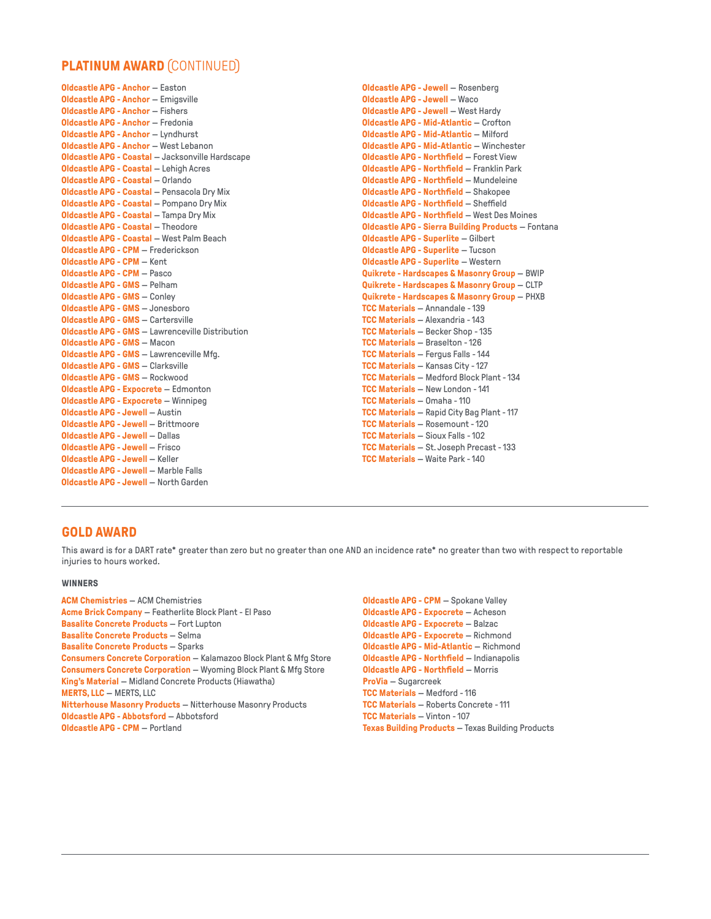# **PLATINUM AWARD** (CONTINUED)

**Oldcastle APG - Anchor** — Easton **Oldcastle APG - Anchor** — Emigsville **Oldcastle APG - Anchor** — Fishers **Oldcastle APG - Anchor** — Fredonia **Oldcastle APG - Anchor** — Lyndhurst **Oldcastle APG - Anchor** — West Lebanon **Oldcastle APG - Coastal** — Jacksonville Hardscape **Oldcastle APG - Coastal** — Lehigh Acres **Oldcastle APG - Coastal** — Orlando **Oldcastle APG - Coastal** — Pensacola Dry Mix **Oldcastle APG - Coastal** — Pompano Dry Mix **Oldcastle APG - Coastal** — Tampa Dry Mix **Oldcastle APG - Coastal** — Theodore **Oldcastle APG - Coastal** — West Palm Beach **Oldcastle APG - CPM** — Frederickson **Oldcastle APG - CPM** — Kent **Oldcastle APG - CPM** — Pasco **Oldcastle APG - GMS** — Pelham **Oldcastle APG - GMS** — Conley **Oldcastle APG - GMS** — Jonesboro **Oldcastle APG - GMS** — Cartersville **Oldcastle APG - GMS** — Lawrenceville Distribution **Oldcastle APG - GMS** — Macon **Oldcastle APG - GMS** — Lawrenceville Mfg. **Oldcastle APG - GMS** — Clarksville **Oldcastle APG - GMS** — Rockwood **Oldcastle APG - Expocrete** — Edmonton **Oldcastle APG - Expocrete** — Winnipeg **Oldcastle APG - Jewell** — Austin **Oldcastle APG - Jewell** — Brittmoore **Oldcastle APG - Jewell** — Dallas **Oldcastle APG - Jewell** — Frisco **Oldcastle APG - Jewell** — Keller **Oldcastle APG - Jewell** — Marble Falls **Oldcastle APG - Jewell** — North Garden

**Oldcastle APG - Jewell** — Rosenberg **Oldcastle APG - Jewell** — Waco **Oldcastle APG - Jewell** — West Hardy **Oldcastle APG - Mid-Atlantic** — Crofton **Oldcastle APG - Mid-Atlantic** — Milford **Oldcastle APG - Mid-Atlantic** — Winchester **Oldcastle APG - Northfield** — Forest View **Oldcastle APG - Northfield** — Franklin Park **Oldcastle APG - Northfield** — Mundeleine **Oldcastle APG - Northfield** — Shakopee **Oldcastle APG - Northfield** — Sheffield **Oldcastle APG - Northfield** — West Des Moines **Oldcastle APG - Sierra Building Products** — Fontana **Oldcastle APG - Superlite** — Gilbert **Oldcastle APG - Superlite** — Tucson **Oldcastle APG - Superlite** — Western **Quikrete - Hardscapes & Masonry Group** — BWIP **Quikrete - Hardscapes & Masonry Group** — CLTP **Quikrete - Hardscapes & Masonry Group** — PHXB **TCC Materials** — Annandale - 139 **TCC Materials** — Alexandria - 143 **TCC Materials** — Becker Shop - 135 **TCC Materials** — Braselton - 126 **TCC Materials** — Fergus Falls - 144 **TCC Materials** — Kansas City - 127 **TCC Materials** — Medford Block Plant - 134 **TCC Materials** — New London - 141 **TCC Materials** — Omaha - 110 **TCC Materials** — Rapid City Bag Plant - 117 **TCC Materials** — Rosemount - 120 **TCC Materials** — Sioux Falls - 102 **TCC Materials** — St. Joseph Precast - 133 **TCC Materials** — Waite Park - 140

## **GOLD AWARD**

This award is for a DART rate\* greater than zero but no greater than one AND an incidence rate\* no greater than two with respect to reportable injuries to hours worked.

### **WINNERS**

**ACM Chemistries** — ACM Chemistries **Acme Brick Company** — Featherlite Block Plant - El Paso **Basalite Concrete Products** — Fort Lupton **Basalite Concrete Products** — Selma **Basalite Concrete Products** — Sparks **Consumers Concrete Corporation** — Kalamazoo Block Plant & Mfg Store **Consumers Concrete Corporation** — Wyoming Block Plant & Mfg Store **King's Material** — Midland Concrete Products (Hiawatha) **MERTS, LLC** — MERTS, LLC **Nitterhouse Masonry Products** — Nitterhouse Masonry Products **Oldcastle APG - Abbotsford** — Abbotsford **Oldcastle APG - CPM** — Portland

**Oldcastle APG - CPM** — Spokane Valley **Oldcastle APG - Expocrete** — Acheson **Oldcastle APG - Expocrete** — Balzac **Oldcastle APG - Expocrete** — Richmond **Oldcastle APG - Mid-Atlantic** — Richmond **Oldcastle APG - Northfield** — Indianapolis **Oldcastle APG - Northfield** — Morris **ProVia** — Sugarcreek **TCC Materials** — Medford - 116 **TCC Materials** — Roberts Concrete - 111 **TCC Materials** — Vinton - 107 **Texas Building Products** — Texas Building Products